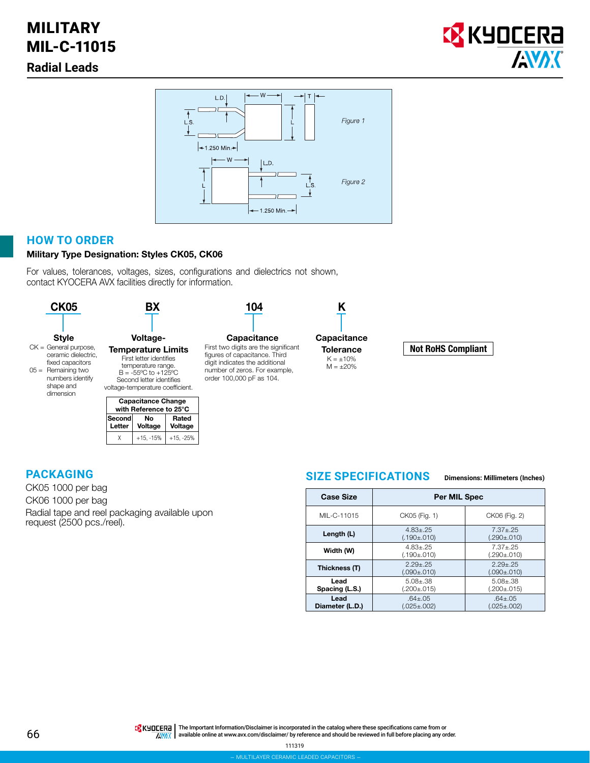# MILITARY MIL-C-11015

# **Radial Leads**





# **HOW TO ORDER**

#### Military Type Designation: Styles CK05, CK06

For values, tolerances, voltages, sizes, configurations and dielectrics not shown, contact KYOCERA AVX facilities directly for information.



# Not RoHS Compliant

#### **PACKAGING**

CK05 1000 per bag CK06 1000 per bag Radial tape and reel packaging available upon request (2500 pcs./reel).

#### **SIZE SPECIFICATIONS Dimensions: Millimeters (Inches)**

| <b>Case Size</b>        | Per MIL Spec                        |                                     |  |
|-------------------------|-------------------------------------|-------------------------------------|--|
| MIL-C-11015             | CK05 (Fig. 1)                       | CK06 (Fig. 2)                       |  |
| Length (L)              | $4.83 + .25$<br>$(.190 \pm .010)$   | $7.37 + .25$<br>(.290±.010)         |  |
| Width (W)               | $4.83 + .25$<br>$(.190 \pm .010)$   | $7.37 + .25$<br>(.290±.010)         |  |
| Thickness (T)           | $2.29 + 0.25$<br>$(.090 \pm .010)$  | $2.29 + 25$<br>$(.090 \pm .010)$    |  |
| Lead<br>Spacing (L.S.)  | $5.08 \pm .38$<br>$(.200 \pm .015)$ | $5.08 \pm .38$<br>$(.200 \pm .015)$ |  |
| Lead<br>Diameter (L.D.) | $.64 \pm .05$<br>$(.025 \pm .002)$  | $.64 \pm .05$<br>(.025±.002)        |  |

THE IMPORTANT IN The Important Information/Disclaimer is incorporated in the catalog where these specifications came from or  $\frac{1}{60}$  available online at [www.avx.com/disclaimer/](http://www.avx.com/disclaimer/) by reference and should be reviewed in full before placing any order.

111319